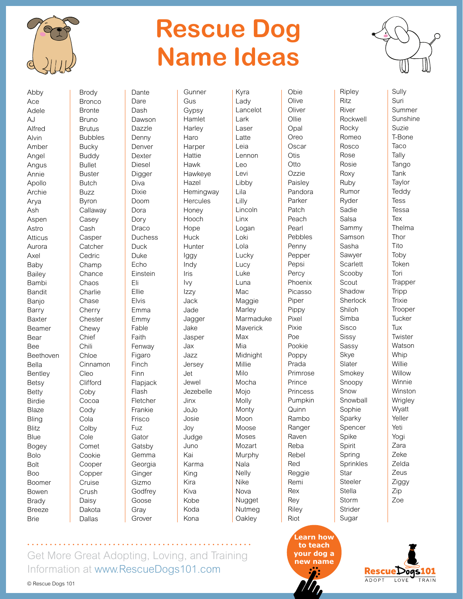

## **Rescue Dog Name Ideas**



Sully Suri Summer Sunshine Suzie T-Bone Taco **Tally** Tango Tank **Taylor Teddy** Tess Tessa Tex Thelma Thor Tito **Toby** Token Tori **Trapper Tripp Trixie** Trooper Tucker Tux **Twister** Watson **Whip Willie** Willow **Winnie** Winston **Wrigley W**vatt Yeller Yeti Yogi Zara Zeke Zelda Zeus Ziggy Zip Zoe

Abby Ace Adele AJ Alfred Alvin Amber Angel Angus Annie Apollo Archie Arya Ash Aspen Astro **Atticus** Aurora Axel Baby Bailey Bambi Bandit Banjo Barry Baxter Beamer Bear Bee Beethoven Bella **Bentley** Betsy Betty Birdie **Blaze** Bling **Blitz** Blue Bogey Bolo Bolt Boo Boomer Bowen Brady Breeze Brie

Brody Bronco Bronte Bruno Brutus Bubbles **Bucky** Buddy Bullet Buster Butch Buzz Byron Callaway Casey Cash Casper **Catcher** Cedric Champ **Chance** Chaos **Charlie** Chase **Cherry Chester** Chewy Chief Chili Chloe Cinnamon Cleo **Clifford** Coby Cocoa Cody Cola **Colby** Cole Comet Cookie Cooper Copper Cruise Crush Daisy Dakota Dante Dare Dash Dawson Dazzle Denny Denver Dexter Diesel Digger Diva Dixie Doom Dora Dory Draco **Duchess** Duck Duke Echo Einstein Eli Ellie Elvis Emma Emmy Fable Faith Fenway Figaro Finch Finn Flapjack Flash Fletcher Frankie Frisco Fuz **Gator Gatsby** Gemma Georgia **Ginger** Gizmo **Godfrey** Goose Gray

**Gunner** Gus Gypsy Hamlet **Harley** Haro **Harper Hattie** Hawk Hawkeye Hazel **Hemingway Hercules** Honey Hooch Hope **Huck Hunter** Iggy Indy Iris Ivy Izzy Jack Jade Jagger Jake Jasper Jax Jazz Jersey Jet Jewel Jezebelle Jinx JoJo Josie Joy Judge Juno Kai Karma King Kira Kiva Kobe Koda Kona

Kyra Lady Lancelot Lark Laser Latte Leia Lennon Leo Levi Libby Lila Lilly Lincoln Linx Logan Loki Lola Lucky Lucy Luke Luna Mac Maggie **Marley** Marmaduke Maverick Max Mia Midnight Millie Milo Mocha Mojo Molly **Monty** Moon Moose Moses Mozart Murphy Nala Nelly Nike Nova **Nugget** Nutmeg **Oakley** 

Obie **Olive Oliver Ollie Opal** Oreo **Oscar Otis** Otto Ozzie Paisley Pandora Parker Patch Peach Pearl Pebbles Penny Pepper Pepsi **Percy** Phoenix Picasso Piper Pippy Pixel Pixie Poe Pookie Poppy Prada Primrose Prince Princess Pumpkin Quinn Rambo Ranger Raven Reba Rebel Red Reggie Remi Rex Rey Riley Riot

Ritz River

**Rocky** 

Rose Rosie Roxy Ruby

Ryder Sadie Salsa

Scout

Shiloh

Sisco Sissy Sassy Skye Slater

Snow

Spike Spirit

Star

Stella Storm

Sugar

Ripley Rockwell Romeo Rosco Rumor Sammy Samson Sasha Sawyer **Scarlett** Scooby Shadow Sherlock Simba Smokey Snoopy **Snowball** Sophie Sparky Spencer Spring Sprinkles Steeler Strider

Get More Great Adopting, Loving, and Training Information at [www.RescueDogs101.com](https://www.RescueDogs101.com)

Grover

© Rescue Dogs 101

Dallas

**Learn how to teach [your dog a](https://www.rescuedogs101.com/top-250-best-dog-names-dog/)  new name**

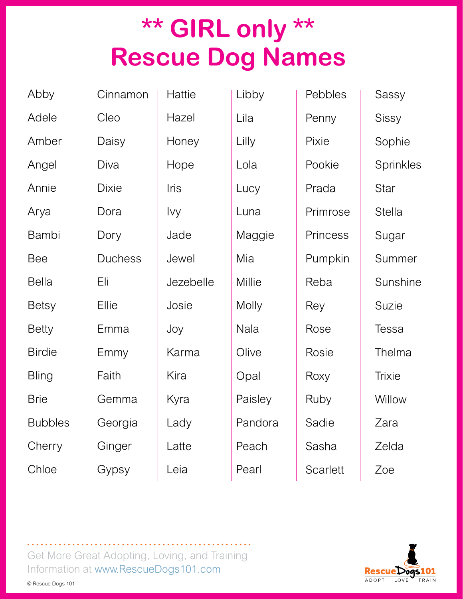## **\*\* GIRL only \*\* Rescue Dog Names**

Adele Amber Angel Annie Arya Bambi Bee Bella Betsy Betty

Birdie

**Bling** 

Brie

**Cherry** 

Chloe

Abby

Bubbles Cleo Daisy Diva Dixie Dora Dory Duchess Eli Ellie Emma Emmy Faith Gemma Georgia **Ginger** Gypsy

Cinnamon

**Hattie** Hazel **Honey** Hope Iris Ivy Jade Jewel Jezebelle Josie Joy Karma Kira Kyra Lady Latte Leia

Libby Lila Lilly Lola **Lucy** Luna Maggie Mia **Millie** Molly Nala **Olive** Opal Paisley Pandora **Peach** Pearl

Pebbles Penny Pixie Pookie Prada Primrose **Princess** Pumpkin Reba Rey Rose Rosie Roxy Ruby Sadie Sasha **Scarlett** 

Sassy Sissy Sophie **Sprinkles** Star **Stella** Sugar Summer Sunshine Suzie Tessa Thelma **Trixie Willow** Zara Zelda Zoe



Get More Great Adopting, Loving, and Training Information at [www.RescueDogs101.com](https://www.RescueDogs101.com)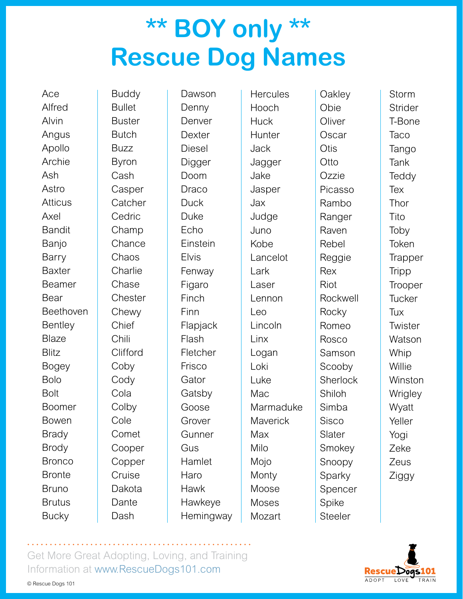## **\*\* BOY only \*\* Rescue Dog Names**

Ace Alfred Alvin Angus Apollo Archie Ash Astro **Atticus** Axel **Bandit** Banjo Barry Baxter Beamer Bear Beethoven **Bentley** Blaze **Blitz** Bogey Bolo Bolt Boomer Bowen Brady Brody **Bronco** Bronte Bruno **Brutus Bucky** 

Buddy **Bullet** Buster **Butch** Buzz Byron Cash Casper **Catcher Cedric** Champ Chance **Chaos Charlie** Chase **Chester** Chewy Chief Chili Clifford Coby Cody Cola **Colby** Cole Comet Cooper Copper Cruise Dakota Dante Dash

Dawson Denny Denver **Dexter** Diesel Digger Doom Draco **Duck** Duke Echo Einstein Elvis Fenway Figaro Finch Finn Flapjack Flash Fletcher Frisco **Gator** Gatsby Goose Grover **Gunner** Gus Hamlet Haro Hawk Hawkeye **Hemingway** 

**Hercules** Hooch **Huck Hunter** Jack Jagger Jake Jasper Jax Judge Juno Kobe Lancelot Lark Laser Lennon Leo Lincoln Linx Logan Loki Luke Mac. Marmaduke **Maverick** Max Milo Mojo **Monty** Moose Moses Mozart

**Oakley** Obie **Oliver Oscar Otis Otto** Ozzie Picasso Rambo **Ranger** Raven Rebel Reggie Rex Riot Rockwell **Rocky** Romeo Rosco Samson Scooby **Sherlock** Shiloh Simba Sisco Slater Smokey Snoopy Sparky Spencer Spike Steeler

Storm **Strider** T-Bone **Taco Tango** Tank **Teddy Tex** Thor Tito Toby Token **Trapper Tripp Trooper Tucker** Tux **Twister Watson Whip Willie Winston Wrigley W**vatt Yeller Yogi Zeke Zeus Ziggy



Get More Great Adopting, Loving, and Training Information at [www.RescueDogs101.com](https://www.RescueDogs101.com)